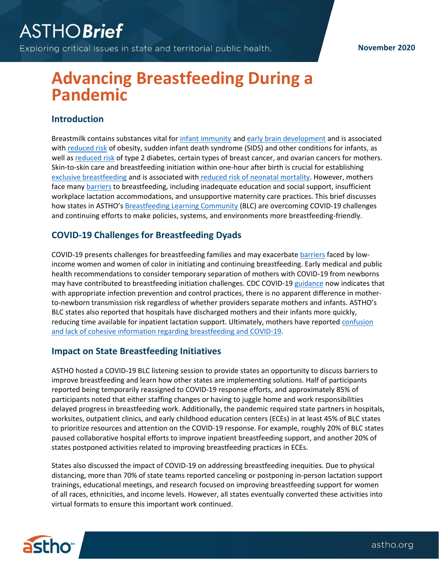Exploring critical issues in state and territorial public health.

#### **November 2020**

# **Advancing Breastfeeding During a Pandemic**

#### **Introduction**

Breastmilk contains substances vital for [infant immunity](https://www.healthychildren.org/English/ages-stages/baby/breastfeeding/Pages/Breastfeeding-Benefits-Your-Babys-Immune-System.aspx) an[d early brain development](https://www.astho.org/ASTHOBriefs/Breastfeeding-Promotes-Early-Brain-Development/) and is associated with [reduced risk](https://www.cdc.gov/breastfeeding/about-breastfeeding/why-it-matters.html) of obesity, sudden infant death syndrome (SIDS) and other conditions for infants, as well as [reduced risk](https://www.womenshealth.gov/breastfeeding/making-decision-breastfeed) of type 2 diabetes, certain types of breast cancer, and ovarian cancers for mothers. Skin-to-skin care and breastfeeding initiation within one-hour after birth is crucial for establishing [exclusive breastfeeding](https://www.cochranelibrary.com/cdsr/doi/10.1002/14651858.CD003519.pub4/full) and is associated with [reduced risk of neonatal mortality.](https://www.ncbi.nlm.nih.gov/pmc/articles/PMC3847227/) However, mothers face man[y barriers](https://www.ncbi.nlm.nih.gov/books/NBK52688/#barriers.s7) to breastfeeding, including inadequate education and social support, insufficient workplace lactation accommodations, and unsupportive maternity care practices. This brief discusses how states in ASTHO's [Breastfeeding Learning Community](https://www.astho.org/Maternal-and-Child-Health/Breastfeeding/State-Learning-Community/) (BLC) are overcoming COVID-19 challenges and continuing efforts to make policies, systems, and environments more breastfeeding-friendly.

### **COVID-19 Challenges for Breastfeeding Dyads**

COVID-19 presents challenges for breastfeeding families and may exacerbat[e barriers](https://www.astho.org/StatePublicHealth/The-Importance-of-Addressing-Breastfeeding-Policies-in-Health-Equity-Work/06-11-20/) faced by lowincome women and women of color in initiating and continuing breastfeeding. Early medical and public health recommendations to consider temporary separation of mothers with COVID-19 from newborns may have contributed to breastfeeding initiation challenges. CDC COVID-19 [guidance](https://www.cdc.gov/coronavirus/2019-ncov/hcp/caring-for-newborns.html) now indicates that with appropriate infection prevention and control practices, there is no apparent difference in motherto-newborn transmission risk regardless of whether providers separate mothers and infants. ASTHO's BLC states also reported that hospitals have discharged mothers and their infants more quickly, reducing time available for inpatient lactation support. Ultimately, mothers have reported [confusion](http://www.usbreastfeeding.org/p/bl/et/blogid=61&blogaid=2192)  [and lack of cohesive information regarding breastfeeding and COVID-19.](http://www.usbreastfeeding.org/p/bl/et/blogid=61&blogaid=2192)

#### **Impact on State Breastfeeding Initiatives**

ASTHO hosted a COVID-19 BLC listening session to provide states an opportunity to discuss barriers to improve breastfeeding and learn how other states are implementing solutions. Half of participants reported being temporarily reassigned to COVID-19 response efforts, and approximately 85% of participants noted that either staffing changes or having to juggle home and work responsibilities delayed progress in breastfeeding work. Additionally, the pandemic required state partners in hospitals, worksites, outpatient clinics, and early childhood education centers (ECEs) in at least 45% of BLC states to prioritize resources and attention on the COVID-19 response. For example, roughly 20% of BLC states paused collaborative hospital efforts to improve inpatient breastfeeding support, and another 20% of states postponed activities related to improving breastfeeding practices in ECEs.

States also discussed the impact of COVID-19 on addressing breastfeeding inequities. Due to physical distancing, more than 70% of state teams reported canceling or postponing in-person lactation support trainings, educational meetings, and research focused on improving breastfeeding support for women of all races, ethnicities, and income levels. However, all states eventually converted these activities into virtual formats to ensure this important work continued.